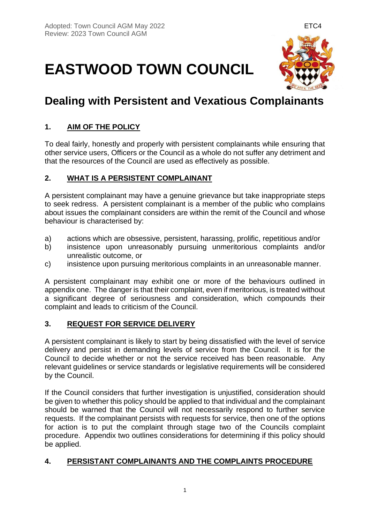# **EASTWOOD TOWN COUNCIL**



# **Dealing with Persistent and Vexatious Complainants**

## **1. AIM OF THE POLICY**

To deal fairly, honestly and properly with persistent complainants while ensuring that other service users, Officers or the Council as a whole do not suffer any detriment and that the resources of the Council are used as effectively as possible.

#### **2. WHAT IS A PERSISTENT COMPLAINANT**

A persistent complainant may have a genuine grievance but take inappropriate steps to seek redress. A persistent complainant is a member of the public who complains about issues the complainant considers are within the remit of the Council and whose behaviour is characterised by:

- a) actions which are obsessive, persistent, harassing, prolific, repetitious and/or
- b) insistence upon unreasonably pursuing unmeritorious complaints and/or unrealistic outcome, or
- c) insistence upon pursuing meritorious complaints in an unreasonable manner.

A persistent complainant may exhibit one or more of the behaviours outlined in appendix one. The danger is that their complaint, even if meritorious, is treated without a significant degree of seriousness and consideration, which compounds their complaint and leads to criticism of the Council.

#### **3. REQUEST FOR SERVICE DELIVERY**

A persistent complainant is likely to start by being dissatisfied with the level of service delivery and persist in demanding levels of service from the Council. It is for the Council to decide whether or not the service received has been reasonable. Any relevant guidelines or service standards or legislative requirements will be considered by the Council.

If the Council considers that further investigation is unjustified, consideration should be given to whether this policy should be applied to that individual and the complainant should be warned that the Council will not necessarily respond to further service requests. If the complainant persists with requests for service, then one of the options for action is to put the complaint through stage two of the Councils complaint procedure. Appendix two outlines considerations for determining if this policy should be applied.

#### **4. PERSISTANT COMPLAINANTS AND THE COMPLAINTS PROCEDURE**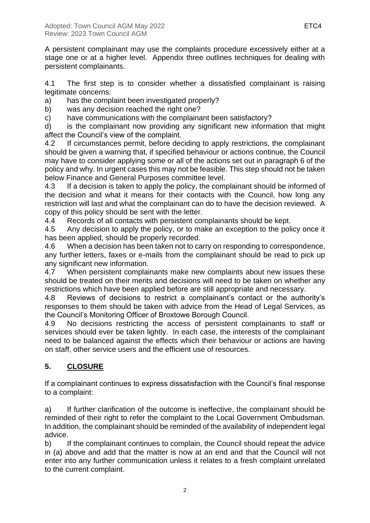A persistent complainant may use the complaints procedure excessively either at a stage one or at a higher level. Appendix three outlines techniques for dealing with persistent complainants.

4.1 The first step is to consider whether a dissatisfied complainant is raising legitimate concerns:

a) has the complaint been investigated properly?

b) was any decision reached the right one?

c) have communications with the complainant been satisfactory?

d) is the complainant now providing any significant new information that might affect the Council's view of the complaint.

4.2 If circumstances permit, before deciding to apply restrictions, the complainant should be given a warning that, if specified behaviour or actions continue, the Council may have to consider applying some or all of the actions set out in paragraph 6 of the policy and why. In urgent cases this may not be feasible. This step should not be taken below Finance and General Purposes committee level.

4.3 If a decision is taken to apply the policy, the complainant should be informed of the decision and what it means for their contacts with the Council, how long any restriction will last and what the complainant can do to have the decision reviewed. A copy of this policy should be sent with the letter.

4.4 Records of all contacts with persistent complainants should be kept.

4.5 Any decision to apply the policy, or to make an exception to the policy once it has been applied, should be properly recorded.

4.6 When a decision has been taken not to carry on responding to correspondence, any further letters, faxes or e-mails from the complainant should be read to pick up any significant new information.

4.7 When persistent complainants make new complaints about new issues these should be treated on their merits and decisions will need to be taken on whether any restrictions which have been applied before are still appropriate and necessary.

4.8 Reviews of decisions to restrict a complainant's contact or the authority's responses to them should be taken with advice from the Head of Legal Services, as the Council's Monitoring Officer of Broxtowe Borough Council.

4.9 No decisions restricting the access of persistent complainants to staff or services should ever be taken lightly. In each case, the interests of the complainant need to be balanced against the effects which their behaviour or actions are having on staff, other service users and the efficient use of resources.

# **5. CLOSURE**

If a complainant continues to express dissatisfaction with the Council's final response to a complaint:

a) If further clarification of the outcome is ineffective, the complainant should be reminded of their right to refer the complaint to the Local Government Ombudsman. In addition, the complainant should be reminded of the availability of independent legal advice.

b) If the complainant continues to complain, the Council should repeat the advice in (a) above and add that the matter is now at an end and that the Council will not enter into any further communication unless it relates to a fresh complaint unrelated to the current complaint.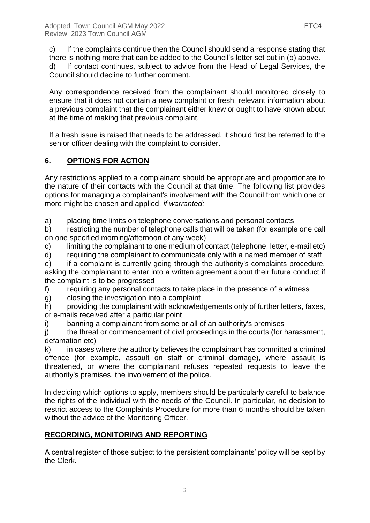c) If the complaints continue then the Council should send a response stating that there is nothing more that can be added to the Council's letter set out in (b) above. d) If contact continues, subject to advice from the Head of Legal Services, the

Council should decline to further comment.

Any correspondence received from the complainant should monitored closely to ensure that it does not contain a new complaint or fresh, relevant information about a previous complaint that the complainant either knew or ought to have known about at the time of making that previous complaint.

If a fresh issue is raised that needs to be addressed, it should first be referred to the senior officer dealing with the complaint to consider.

### **6. OPTIONS FOR ACTION**

Any restrictions applied to a complainant should be appropriate and proportionate to the nature of their contacts with the Council at that time. The following list provides options for managing a complainant's involvement with the Council from which one or more might be chosen and applied, *if warranted:*

a) placing time limits on telephone conversations and personal contacts

b) restricting the number of telephone calls that will be taken (for example one call on one specified morning/afternoon of any week)

c) limiting the complainant to one medium of contact (telephone, letter, e-mail etc)

d) requiring the complainant to communicate only with a named member of staff

e) if a complaint is currently going through the authority's complaints procedure, asking the complainant to enter into a written agreement about their future conduct if the complaint is to be progressed

f) requiring any personal contacts to take place in the presence of a witness

g) closing the investigation into a complaint

h) providing the complainant with acknowledgements only of further letters, faxes, or e-mails received after a particular point

i) banning a complainant from some or all of an authority's premises

j) the threat or commencement of civil proceedings in the courts (for harassment, defamation etc)

k) in cases where the authority believes the complainant has committed a criminal offence (for example, assault on staff or criminal damage), where assault is threatened, or where the complainant refuses repeated requests to leave the authority's premises, the involvement of the police.

In deciding which options to apply, members should be particularly careful to balance the rights of the individual with the needs of the Council. In particular, no decision to restrict access to the Complaints Procedure for more than 6 months should be taken without the advice of the Monitoring Officer.

#### **RECORDING, MONITORING AND REPORTING**

A central register of those subject to the persistent complainants' policy will be kept by the Clerk.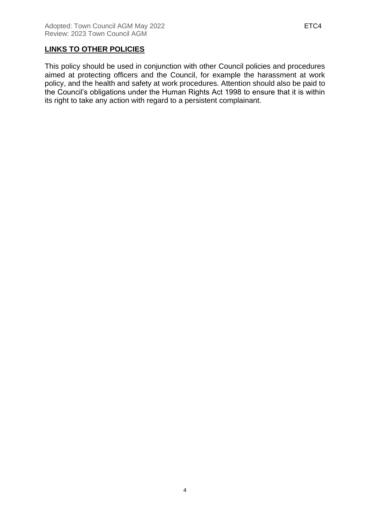This policy should be used in conjunction with other Council policies and procedures aimed at protecting officers and the Council, for example the harassment at work policy, and the health and safety at work procedures. Attention should also be paid to the Council's obligations under the Human Rights Act 1998 to ensure that it is within its right to take any action with regard to a persistent complainant.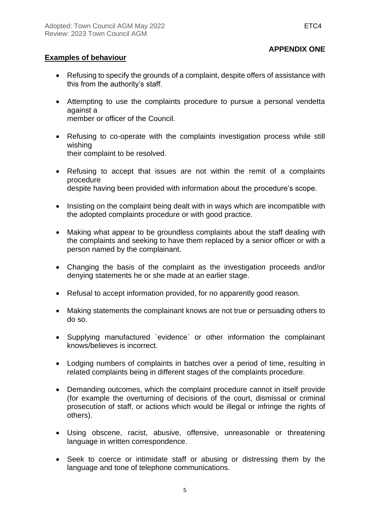#### **APPENDIX ONE**

#### **Examples of behaviour**

- Refusing to specify the grounds of a complaint, despite offers of assistance with this from the authority's staff.
- Attempting to use the complaints procedure to pursue a personal vendetta against a member or officer of the Council.
- Refusing to co-operate with the complaints investigation process while still wishing their complaint to be resolved.
- Refusing to accept that issues are not within the remit of a complaints procedure despite having been provided with information about the procedure's scope.
- Insisting on the complaint being dealt with in ways which are incompatible with the adopted complaints procedure or with good practice.
- Making what appear to be groundless complaints about the staff dealing with the complaints and seeking to have them replaced by a senior officer or with a person named by the complainant.
- Changing the basis of the complaint as the investigation proceeds and/or denying statements he or she made at an earlier stage.
- Refusal to accept information provided, for no apparently good reason.
- Making statements the complainant knows are not true or persuading others to do so.
- Supplying manufactured `evidence` or other information the complainant knows/believes is incorrect.
- Lodging numbers of complaints in batches over a period of time, resulting in related complaints being in different stages of the complaints procedure.
- Demanding outcomes, which the complaint procedure cannot in itself provide (for example the overturning of decisions of the court, dismissal or criminal prosecution of staff, or actions which would be illegal or infringe the rights of others).
- Using obscene, racist, abusive, offensive, unreasonable or threatening language in written correspondence.
- Seek to coerce or intimidate staff or abusing or distressing them by the language and tone of telephone communications.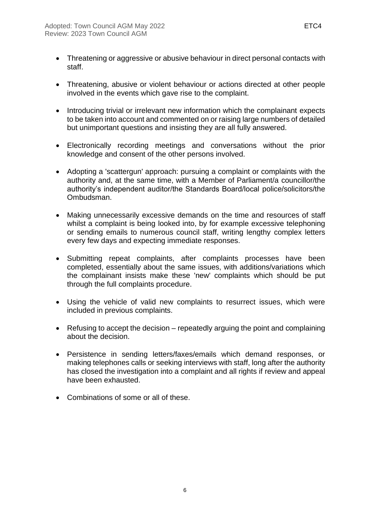- Threatening or aggressive or abusive behaviour in direct personal contacts with staff.
- Threatening, abusive or violent behaviour or actions directed at other people involved in the events which gave rise to the complaint.
- Introducing trivial or irrelevant new information which the complainant expects to be taken into account and commented on or raising large numbers of detailed but unimportant questions and insisting they are all fully answered.
- Electronically recording meetings and conversations without the prior knowledge and consent of the other persons involved.
- Adopting a 'scattergun' approach: pursuing a complaint or complaints with the authority and, at the same time, with a Member of Parliament/a councillor/the authority's independent auditor/the Standards Board/local police/solicitors/the Ombudsman.
- Making unnecessarily excessive demands on the time and resources of staff whilst a complaint is being looked into, by for example excessive telephoning or sending emails to numerous council staff, writing lengthy complex letters every few days and expecting immediate responses.
- Submitting repeat complaints, after complaints processes have been completed, essentially about the same issues, with additions/variations which the complainant insists make these 'new' complaints which should be put through the full complaints procedure.
- Using the vehicle of valid new complaints to resurrect issues, which were included in previous complaints.
- Refusing to accept the decision repeatedly arguing the point and complaining about the decision.
- Persistence in sending letters/faxes/emails which demand responses, or making telephones calls or seeking interviews with staff, long after the authority has closed the investigation into a complaint and all rights if review and appeal have been exhausted.
- Combinations of some or all of these.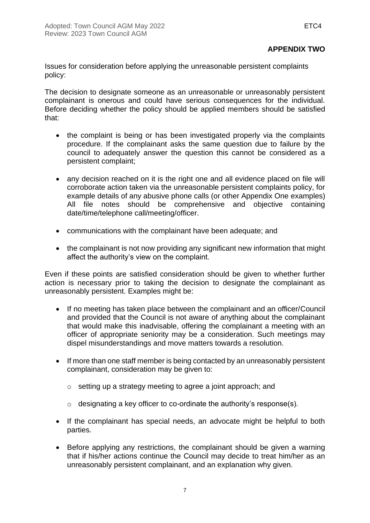#### **APPENDIX TWO**

Issues for consideration before applying the unreasonable persistent complaints policy:

The decision to designate someone as an unreasonable or unreasonably persistent complainant is onerous and could have serious consequences for the individual. Before deciding whether the policy should be applied members should be satisfied that:

- the complaint is being or has been investigated properly via the complaints procedure. If the complainant asks the same question due to failure by the council to adequately answer the question this cannot be considered as a persistent complaint;
- any decision reached on it is the right one and all evidence placed on file will corroborate action taken via the unreasonable persistent complaints policy, for example details of any abusive phone calls (or other Appendix One examples) All file notes should be comprehensive and objective containing date/time/telephone call/meeting/officer.
- communications with the complainant have been adequate; and
- the complainant is not now providing any significant new information that might affect the authority's view on the complaint.

Even if these points are satisfied consideration should be given to whether further action is necessary prior to taking the decision to designate the complainant as unreasonably persistent. Examples might be:

- If no meeting has taken place between the complainant and an officer/Council and provided that the Council is not aware of anything about the complainant that would make this inadvisable, offering the complainant a meeting with an officer of appropriate seniority may be a consideration. Such meetings may dispel misunderstandings and move matters towards a resolution.
- If more than one staff member is being contacted by an unreasonably persistent complainant, consideration may be given to:
	- o setting up a strategy meeting to agree a joint approach; and
	- $\circ$  designating a key officer to co-ordinate the authority's response(s).
- If the complainant has special needs, an advocate might be helpful to both parties.
- Before applying any restrictions, the complainant should be given a warning that if his/her actions continue the Council may decide to treat him/her as an unreasonably persistent complainant, and an explanation why given.